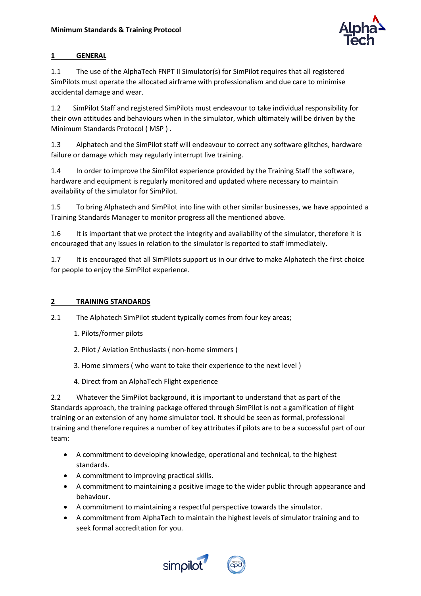

# **1 GENERAL**

1.1 The use of the AlphaTech FNPT II Simulator(s) for SimPilot requires that all registered SimPilots must operate the allocated airframe with professionalism and due care to minimise accidental damage and wear.

1.2 SimPilot Staff and registered SimPilots must endeavour to take individual responsibility for their own attitudes and behaviours when in the simulator, which ultimately will be driven by the Minimum Standards Protocol ( MSP ) .

1.3 Alphatech and the SimPilot staff will endeavour to correct any software glitches, hardware failure or damage which may regularly interrupt live training.

1.4 In order to improve the SimPilot experience provided by the Training Staff the software, hardware and equipment is regularly monitored and updated where necessary to maintain availability of the simulator for SimPilot.

1.5 To bring Alphatech and SimPilot into line with other similar businesses, we have appointed a Training Standards Manager to monitor progress all the mentioned above.

1.6 It is important that we protect the integrity and availability of the simulator, therefore it is encouraged that any issues in relation to the simulator is reported to staff immediately.

1.7 It is encouraged that all SimPilots support us in our drive to make Alphatech the first choice for people to enjoy the SimPilot experience.

# **2 TRAINING STANDARDS**

2.1 The Alphatech SimPilot student typically comes from four key areas;

- 1. Pilots/former pilots
- 2. Pilot / Aviation Enthusiasts ( non-home simmers )
- 3. Home simmers ( who want to take their experience to the next level )
- 4. Direct from an AlphaTech Flight experience

2.2 Whatever the SimPilot background, it is important to understand that as part of the Standards approach, the training package offered through SimPilot is not a gamification of flight training or an extension of any home simulator tool. It should be seen as formal, professional training and therefore requires a number of key attributes if pilots are to be a successful part of our team:

- A commitment to developing knowledge, operational and technical, to the highest standards.
- A commitment to improving practical skills.
- A commitment to maintaining a positive image to the wider public through appearance and behaviour.
- A commitment to maintaining a respectful perspective towards the simulator.
- A commitment from AlphaTech to maintain the highest levels of simulator training and to seek formal accreditation for you.



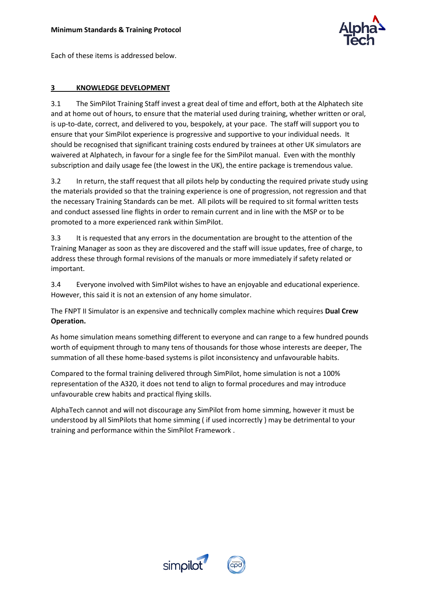

Each of these items is addressed below.

#### **3 KNOWLEDGE DEVELOPMENT**

3.1 The SimPilot Training Staff invest a great deal of time and effort, both at the Alphatech site and at home out of hours, to ensure that the material used during training, whether written or oral, is up-to-date, correct, and delivered to you, bespokely, at your pace. The staff will support you to ensure that your SimPilot experience is progressive and supportive to your individual needs. It should be recognised that significant training costs endured by trainees at other UK simulators are waivered at Alphatech, in favour for a single fee for the SimPilot manual. Even with the monthly subscription and daily usage fee (the lowest in the UK), the entire package is tremendous value.

3.2 In return, the staff request that all pilots help by conducting the required private study using the materials provided so that the training experience is one of progression, not regression and that the necessary Training Standards can be met. All pilots will be required to sit formal written tests and conduct assessed line flights in order to remain current and in line with the MSP or to be promoted to a more experienced rank within SimPilot.

3.3 It is requested that any errors in the documentation are brought to the attention of the Training Manager as soon as they are discovered and the staff will issue updates, free of charge, to address these through formal revisions of the manuals or more immediately if safety related or important.

3.4 Everyone involved with SimPilot wishes to have an enjoyable and educational experience. However, this said it is not an extension of any home simulator.

The FNPT II Simulator is an expensive and technically complex machine which requires **Dual Crew Operation.**

As home simulation means something different to everyone and can range to a few hundred pounds worth of equipment through to many tens of thousands for those whose interests are deeper, The summation of all these home-based systems is pilot inconsistency and unfavourable habits.

Compared to the formal training delivered through SimPilot, home simulation is not a 100% representation of the A320, it does not tend to align to formal procedures and may introduce unfavourable crew habits and practical flying skills.

AlphaTech cannot and will not discourage any SimPilot from home simming, however it must be understood by all SimPilots that home simming ( if used incorrectly ) may be detrimental to your training and performance within the SimPilot Framework .



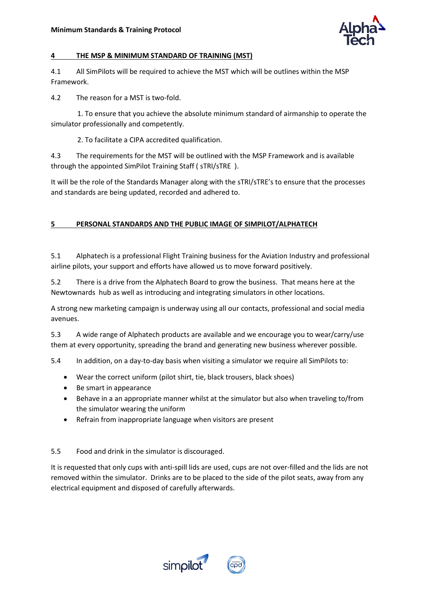

#### **4 THE MSP & MINIMUM STANDARD OF TRAINING (MST)**

4.1 All SimPilots will be required to achieve the MST which will be outlines within the MSP Framework.

4.2 The reason for a MST is two-fold.

 1. To ensure that you achieve the absolute minimum standard of airmanship to operate the simulator professionally and competently.

2. To facilitate a CIPA accredited qualification.

4.3 The requirements for the MST will be outlined with the MSP Framework and is available through the appointed SimPilot Training Staff ( sTRI/sTRE ).

It will be the role of the Standards Manager along with the sTRI/sTRE's to ensure that the processes and standards are being updated, recorded and adhered to.

### **5 PERSONAL STANDARDS AND THE PUBLIC IMAGE OF SIMPILOT/ALPHATECH**

5.1 Alphatech is a professional Flight Training business for the Aviation Industry and professional airline pilots, your support and efforts have allowed us to move forward positively.

5.2 There is a drive from the Alphatech Board to grow the business. That means here at the Newtownards hub as well as introducing and integrating simulators in other locations.

A strong new marketing campaign is underway using all our contacts, professional and social media avenues.

5.3 A wide range of Alphatech products are available and we encourage you to wear/carry/use them at every opportunity, spreading the brand and generating new business wherever possible.

5.4 In addition, on a day-to-day basis when visiting a simulator we require all SimPilots to:

- Wear the correct uniform (pilot shirt, tie, black trousers, black shoes)
- Be smart in appearance
- Behave in a an appropriate manner whilst at the simulator but also when traveling to/from the simulator wearing the uniform
- Refrain from inappropriate language when visitors are present

#### 5.5 Food and drink in the simulator is discouraged.

It is requested that only cups with anti-spill lids are used, cups are not over-filled and the lids are not removed within the simulator. Drinks are to be placed to the side of the pilot seats, away from any electrical equipment and disposed of carefully afterwards.